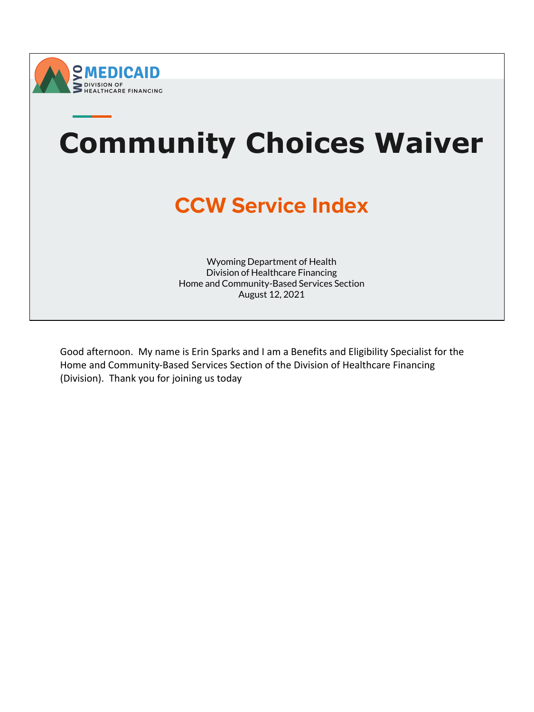



Good afternoon. My name is Erin Sparks and I am a Benefits and Eligibility Specialist for the Home and Community-Based Services Section of the Division of Healthcare Financing (Division). Thank you for joining us today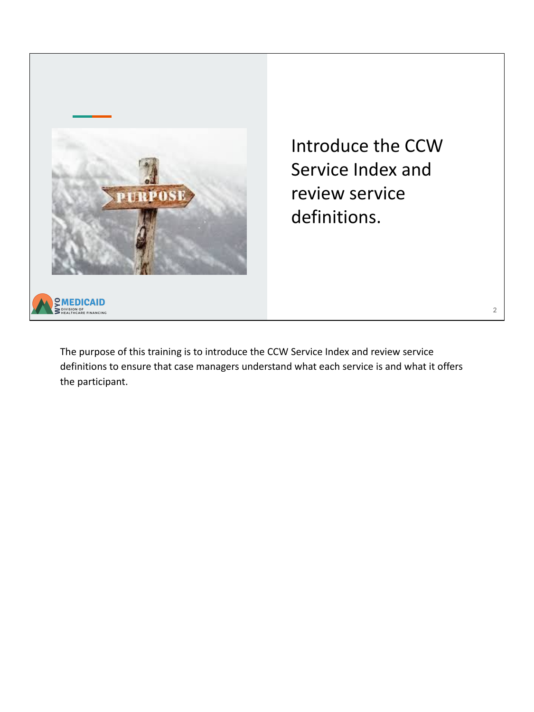

Introduce the CCW Service Index and review service definitions.

2

The purpose of this training is to introduce the CCW Service Index and review service definitions to ensure that case managers understand what each service is and what it offers the participant.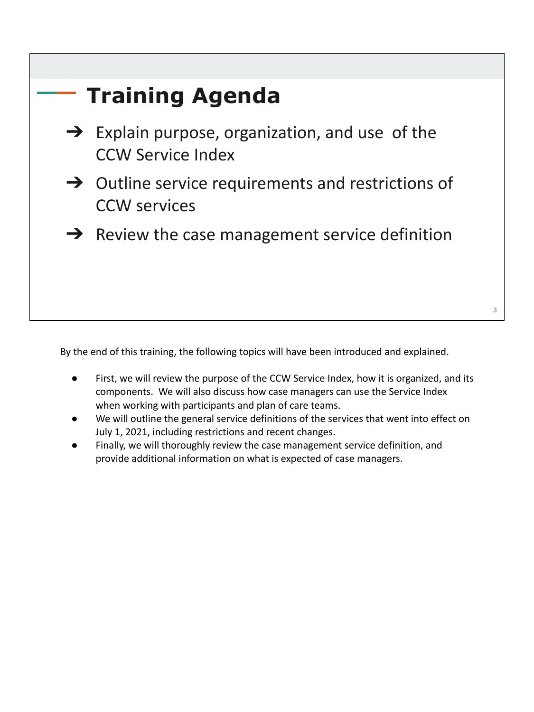| <b>Training Agenda</b>                                                                  |   |
|-----------------------------------------------------------------------------------------|---|
| $\rightarrow$ Explain purpose, organization, and use of the<br><b>CCW Service Index</b> |   |
| $\rightarrow$ Outline service requirements and restrictions of<br><b>CCW</b> services   |   |
| $\rightarrow$ Review the case management service definition                             |   |
|                                                                                         | 3 |

By the end of this training, the following topics will have been introduced and explained.

- First, we will review the purpose of the CCW Service Index, how it is organized, and its components. We will also discuss how case managers can use the Service Index when working with participants and plan of care teams.
- We will outline the general service definitions of the services that went into effect on July 1, 2021, including restrictions and recent changes.
- Finally, we will thoroughly review the case management service definition, and provide additional information on what is expected of case managers.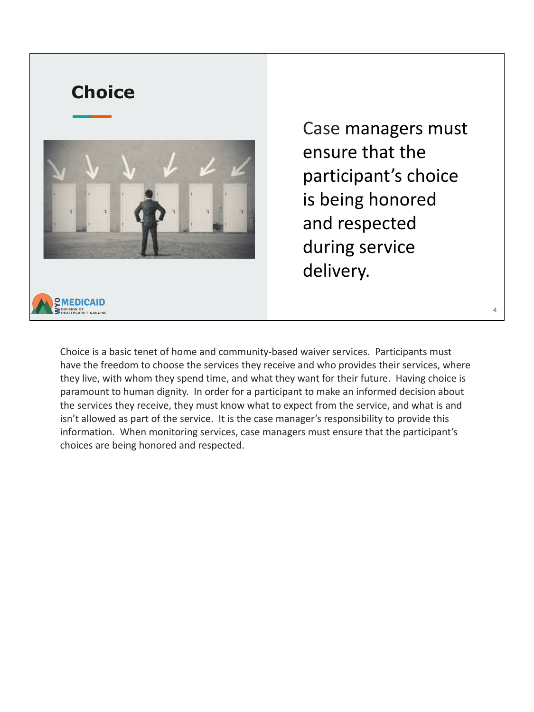

Case managers must ensure that the participant's choice is being honored and respected during service delivery.

4

Choice is a basic tenet of home and community-based waiver services. Participants must have the freedom to choose the services they receive and who provides their services, where they live, with whom they spend time, and what they want for their future. Having choice is paramount to human dignity. In order for a participant to make an informed decision about the services they receive, they must know what to expect from the service, and what is and isn't allowed as part of the service. It is the case manager's responsibility to provide this information. When monitoring services, case managers must ensure that the participant's choices are being honored and respected.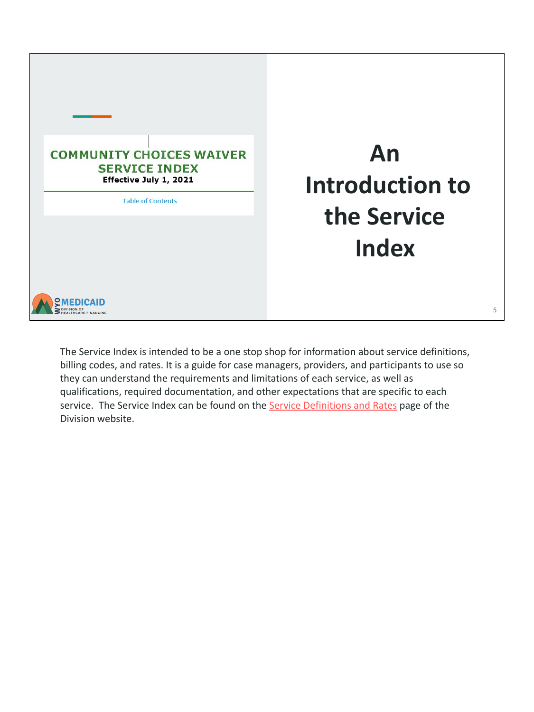

The Service Index is intended to be a one stop shop for information about service definitions, billing codes, and rates. It is a guide for case managers, providers, and participants to use so they can understand the requirements and limitations of each service, as well as qualifications, required documentation, and other expectations that are specific to each service. The Service Index can be found on the [Service Definitions and Rates](https://health.wyo.gov/healthcarefin/hcbs/servicesandrates/) page of the Division website.

**An** 

**the Service** 

**Index**

5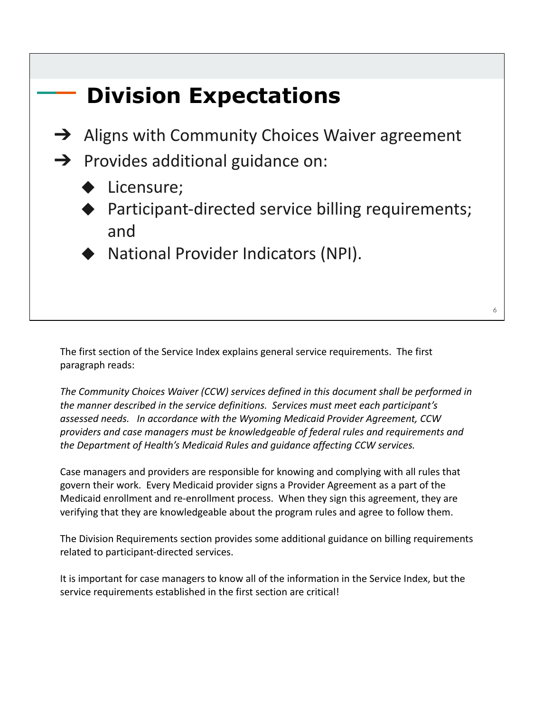

The first section of the Service Index explains general service requirements. The first paragraph reads:

*The Community Choices Waiver (CCW) services defined in this document shall be performed in the manner described in the service definitions. Services must meet each participant's assessed needs. In accordance with the Wyoming Medicaid Provider Agreement, CCW providers and case managers must be knowledgeable of federal rules and requirements and the Department of Health's Medicaid Rules and guidance affecting CCW services.*

Case managers and providers are responsible for knowing and complying with all rules that govern their work. Every Medicaid provider signs a Provider Agreement as a part of the Medicaid enrollment and re-enrollment process. When they sign this agreement, they are verifying that they are knowledgeable about the program rules and agree to follow them.

The Division Requirements section provides some additional guidance on billing requirements related to participant-directed services.

It is important for case managers to know all of the information in the Service Index, but the service requirements established in the first section are critical!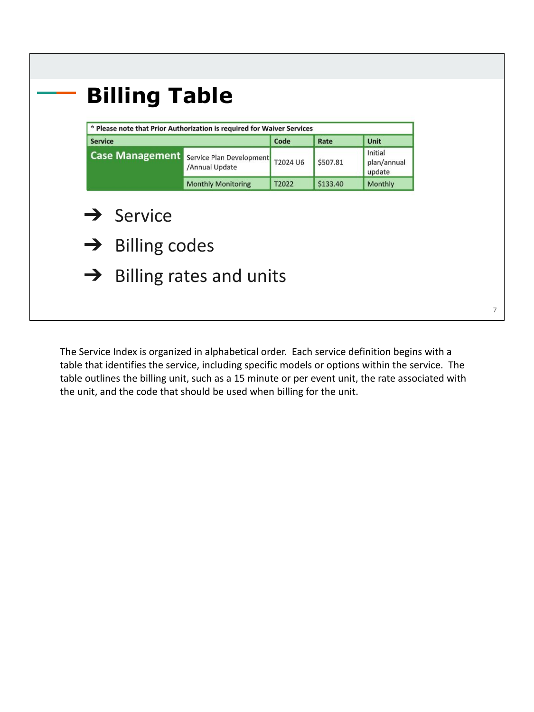|                                                                |                                            | * Please note that Prior Authorization is required for Waiver Services |          |                                  |
|----------------------------------------------------------------|--------------------------------------------|------------------------------------------------------------------------|----------|----------------------------------|
| <b>Service</b>                                                 |                                            | Code                                                                   | Rate     | Unit                             |
| <b>Case Management</b>                                         | Service Plan Development<br>/Annual Update | T2024 U6                                                               | \$507.81 | Initial<br>plan/annual<br>update |
|                                                                | <b>Monthly Monitoring</b>                  | T2022                                                                  | \$133.40 | Monthly                          |
| $\rightarrow$ Service<br><b>Billing codes</b><br>$\rightarrow$ |                                            |                                                                        |          |                                  |
|                                                                | $\rightarrow$ Billing rates and units      |                                                                        |          |                                  |

The Service Index is organized in alphabetical order. Each service definition begins with a table that identifies the service, including specific models or options within the service. The table outlines the billing unit, such as a 15 minute or per event unit, the rate associated with the unit, and the code that should be used when billing for the unit.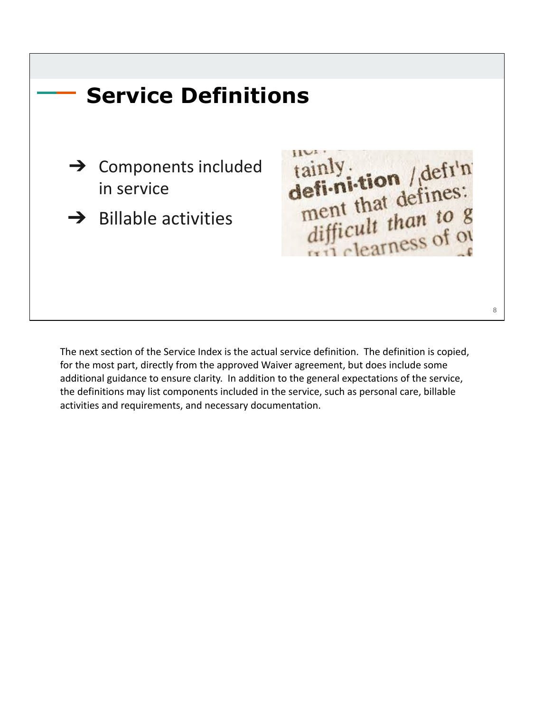

The next section of the Service Index is the actual service definition. The definition is copied, for the most part, directly from the approved Waiver agreement, but does include some additional guidance to ensure clarity. In addition to the general expectations of the service, the definitions may list components included in the service, such as personal care, billable activities and requirements, and necessary documentation.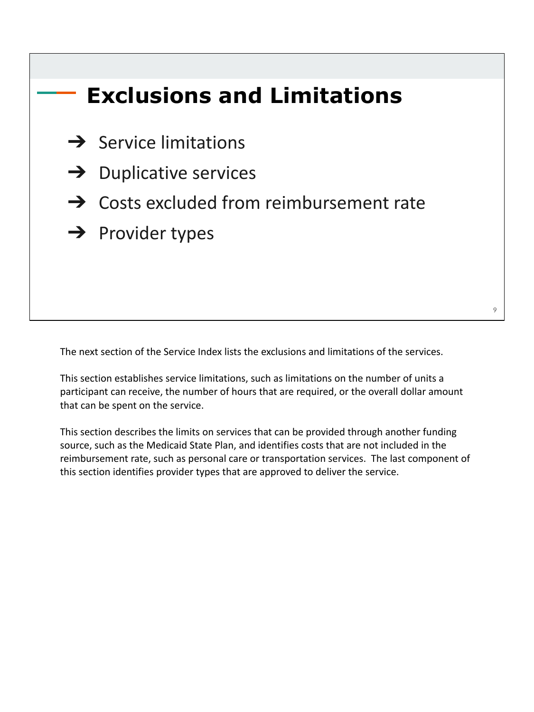## **Exclusions and Limitations**

- $\rightarrow$  Service limitations
- $\rightarrow$  Duplicative services
- $\rightarrow$  Costs excluded from reimbursement rate
- **→** Provider types

The next section of the Service Index lists the exclusions and limitations of the services.

This section establishes service limitations, such as limitations on the number of units a participant can receive, the number of hours that are required, or the overall dollar amount that can be spent on the service.

This section describes the limits on services that can be provided through another funding source, such as the Medicaid State Plan, and identifies costs that are not included in the reimbursement rate, such as personal care or transportation services. The last component of this section identifies provider types that are approved to deliver the service.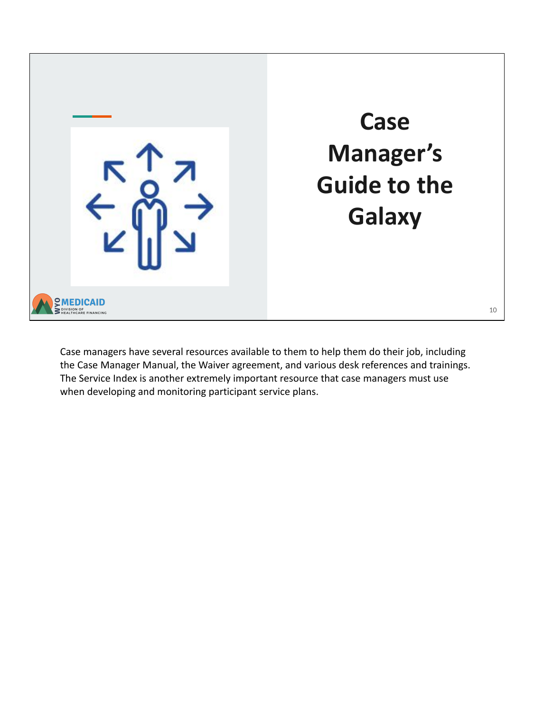

Case managers have several resources available to them to help them do their job, including the Case Manager Manual, the Waiver agreement, and various desk references and trainings. The Service Index is another extremely important resource that case managers must use when developing and monitoring participant service plans.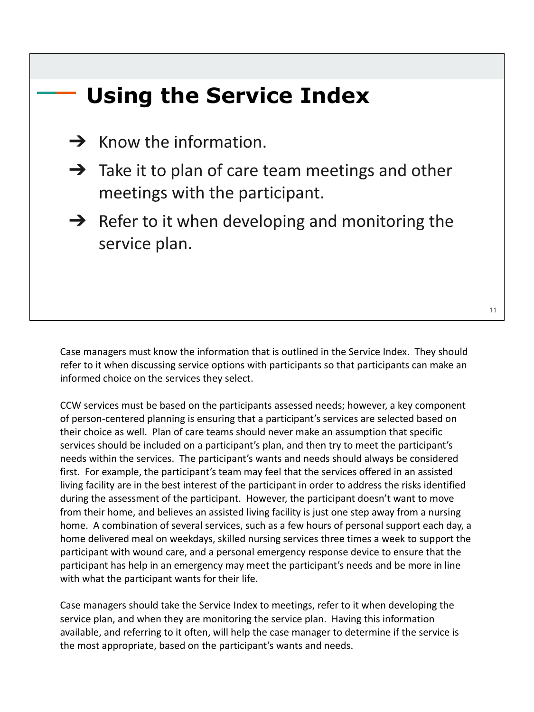# **Using the Service Index**  $\rightarrow$  Know the information.  $\rightarrow$  Take it to plan of care team meetings and other meetings with the participant.  $\rightarrow$  Refer to it when developing and monitoring the service plan. 11

Case managers must know the information that is outlined in the Service Index. They should refer to it when discussing service options with participants so that participants can make an informed choice on the services they select.

CCW services must be based on the participants assessed needs; however, a key component of person-centered planning is ensuring that a participant's services are selected based on their choice as well. Plan of care teams should never make an assumption that specific services should be included on a participant's plan, and then try to meet the participant's needs within the services. The participant's wants and needs should always be considered first. For example, the participant's team may feel that the services offered in an assisted living facility are in the best interest of the participant in order to address the risks identified during the assessment of the participant. However, the participant doesn't want to move from their home, and believes an assisted living facility is just one step away from a nursing home. A combination of several services, such as a few hours of personal support each day, a home delivered meal on weekdays, skilled nursing services three times a week to support the participant with wound care, and a personal emergency response device to ensure that the participant has help in an emergency may meet the participant's needs and be more in line with what the participant wants for their life.

Case managers should take the Service Index to meetings, refer to it when developing the service plan, and when they are monitoring the service plan. Having this information available, and referring to it often, will help the case manager to determine if the service is the most appropriate, based on the participant's wants and needs.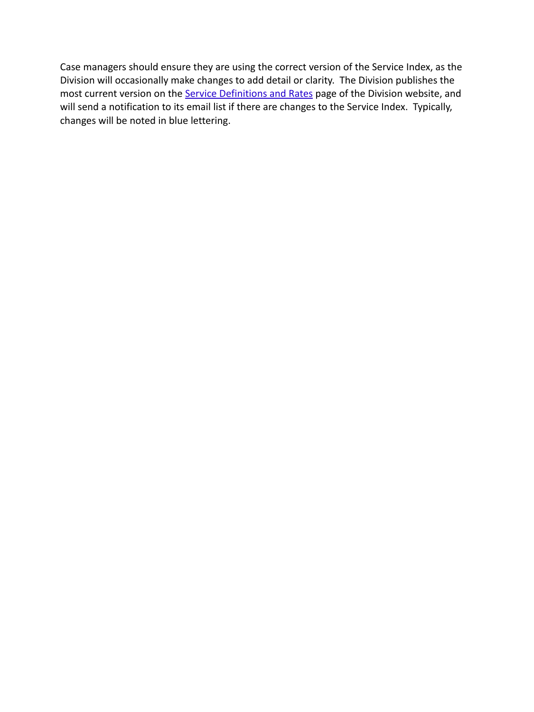Case managers should ensure they are using the correct version of the Service Index, as the Division will occasionally make changes to add detail or clarity. The Division publishes the most current version on the [Service Definitions and Rates](https://health.wyo.gov/healthcarefin/hcbs/servicesandrates/) page of the Division website, and will send a notification to its email list if there are changes to the Service Index. Typically, changes will be noted in blue lettering.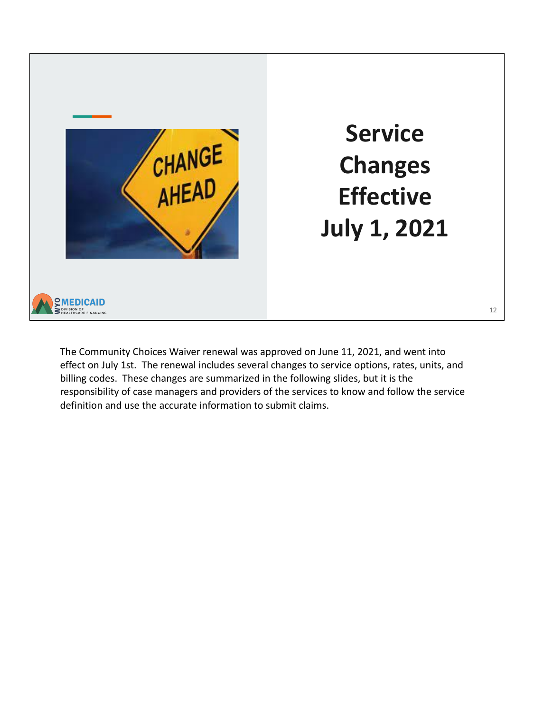

**Service Changes Effective July 1, 2021**

The Community Choices Waiver renewal was approved on June 11, 2021, and went into effect on July 1st. The renewal includes several changes to service options, rates, units, and billing codes. These changes are summarized in the following slides, but it is the responsibility of case managers and providers of the services to know and follow the service definition and use the accurate information to submit claims.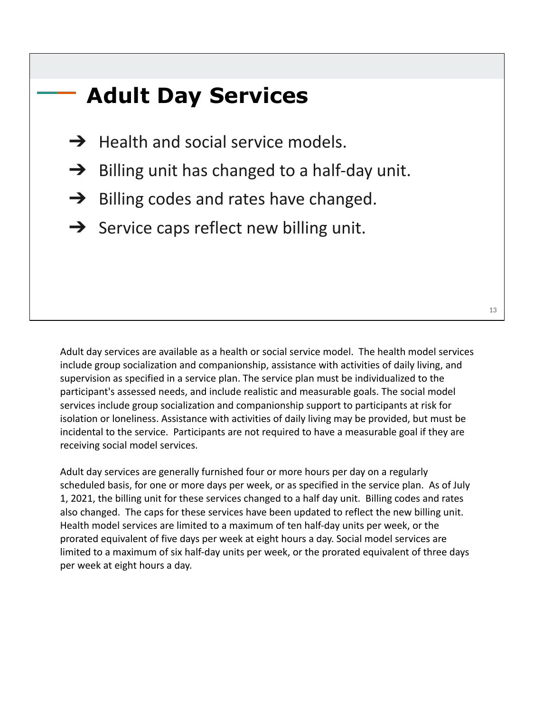## **Adult Day Services**

- $\rightarrow$  Health and social service models.
- $\rightarrow$  Billing unit has changed to a half-day unit.
- $\rightarrow$  Billing codes and rates have changed.
- $\rightarrow$  Service caps reflect new billing unit.

Adult day services are available as a health or social service model. The health model services include group socialization and companionship, assistance with activities of daily living, and supervision as specified in a service plan. The service plan must be individualized to the participant's assessed needs, and include realistic and measurable goals. The social model services include group socialization and companionship support to participants at risk for isolation or loneliness. Assistance with activities of daily living may be provided, but must be incidental to the service. Participants are not required to have a measurable goal if they are receiving social model services.

Adult day services are generally furnished four or more hours per day on a regularly scheduled basis, for one or more days per week, or as specified in the service plan. As of July 1, 2021, the billing unit for these services changed to a half day unit. Billing codes and rates also changed. The caps for these services have been updated to reflect the new billing unit. Health model services are limited to a maximum of ten half-day units per week, or the prorated equivalent of five days per week at eight hours a day. Social model services are limited to a maximum of six half-day units per week, or the prorated equivalent of three days per week at eight hours a day.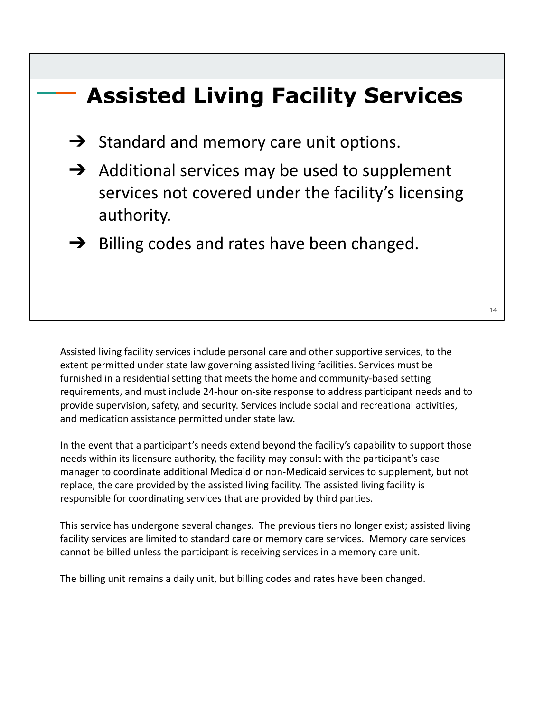## **Assisted Living Facility Services**

- $\rightarrow$  Standard and memory care unit options.
- $\rightarrow$  Additional services may be used to supplement services not covered under the facility's licensing authority.
- $\rightarrow$  Billing codes and rates have been changed.

Assisted living facility services include personal care and other supportive services, to the extent permitted under state law governing assisted living facilities. Services must be furnished in a residential setting that meets the home and community-based setting requirements, and must include 24-hour on-site response to address participant needs and to provide supervision, safety, and security. Services include social and recreational activities, and medication assistance permitted under state law.

In the event that a participant's needs extend beyond the facility's capability to support those needs within its licensure authority, the facility may consult with the participant's case manager to coordinate additional Medicaid or non-Medicaid services to supplement, but not replace, the care provided by the assisted living facility. The assisted living facility is responsible for coordinating services that are provided by third parties.

This service has undergone several changes. The previous tiers no longer exist; assisted living facility services are limited to standard care or memory care services. Memory care services cannot be billed unless the participant is receiving services in a memory care unit.

The billing unit remains a daily unit, but billing codes and rates have been changed.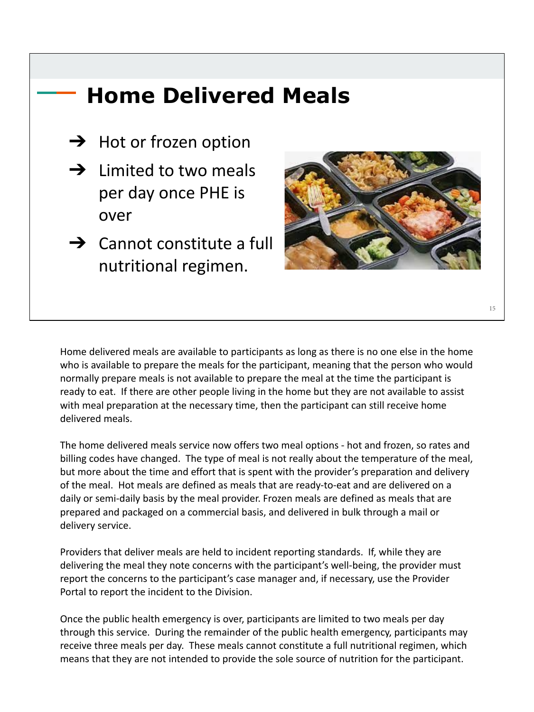## **Home Delivered Meals**

- $\rightarrow$  Hot or frozen option
- $\rightarrow$  Limited to two meals per day once PHE is over
- $\rightarrow$  Cannot constitute a full nutritional regimen.



Home delivered meals are available to participants as long as there is no one else in the home who is available to prepare the meals for the participant, meaning that the person who would normally prepare meals is not available to prepare the meal at the time the participant is ready to eat. If there are other people living in the home but they are not available to assist with meal preparation at the necessary time, then the participant can still receive home delivered meals.

The home delivered meals service now offers two meal options - hot and frozen, so rates and billing codes have changed. The type of meal is not really about the temperature of the meal, but more about the time and effort that is spent with the provider's preparation and delivery of the meal. Hot meals are defined as meals that are ready-to-eat and are delivered on a daily or semi-daily basis by the meal provider. Frozen meals are defined as meals that are prepared and packaged on a commercial basis, and delivered in bulk through a mail or delivery service.

Providers that deliver meals are held to incident reporting standards. If, while they are delivering the meal they note concerns with the participant's well-being, the provider must report the concerns to the participant's case manager and, if necessary, use the Provider Portal to report the incident to the Division.

Once the public health emergency is over, participants are limited to two meals per day through this service. During the remainder of the public health emergency, participants may receive three meals per day. These meals cannot constitute a full nutritional regimen, which means that they are not intended to provide the sole source of nutrition for the participant.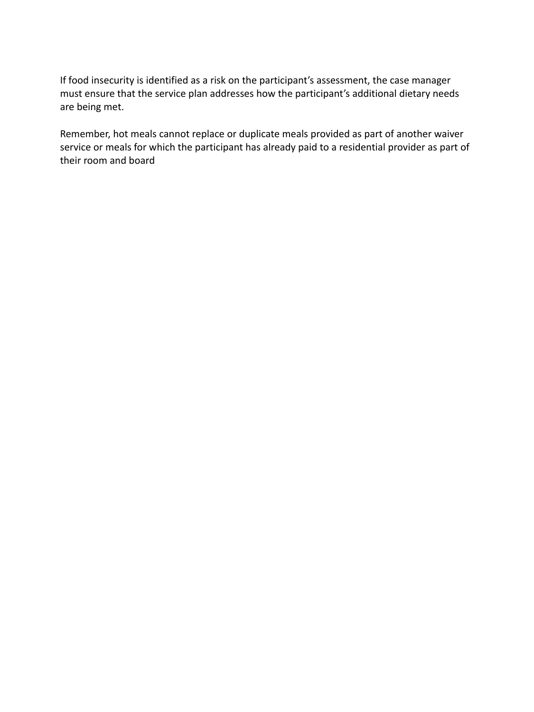If food insecurity is identified as a risk on the participant's assessment, the case manager must ensure that the service plan addresses how the participant's additional dietary needs are being met.

Remember, hot meals cannot replace or duplicate meals provided as part of another waiver service or meals for which the participant has already paid to a residential provider as part of their room and board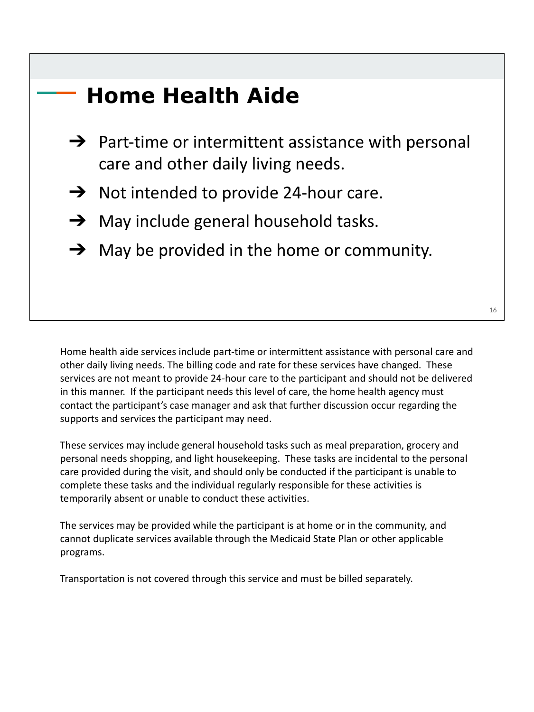## **Home Health Aide**

- $\rightarrow$  Part-time or intermittent assistance with personal care and other daily living needs.
- $\rightarrow$  Not intended to provide 24-hour care.
- $\rightarrow$  May include general household tasks.
- $\rightarrow$  May be provided in the home or community.

Home health aide services include part-time or intermittent assistance with personal care and other daily living needs. The billing code and rate for these services have changed. These services are not meant to provide 24-hour care to the participant and should not be delivered in this manner. If the participant needs this level of care, the home health agency must contact the participant's case manager and ask that further discussion occur regarding the supports and services the participant may need.

These services may include general household tasks such as meal preparation, grocery and personal needs shopping, and light housekeeping. These tasks are incidental to the personal care provided during the visit, and should only be conducted if the participant is unable to complete these tasks and the individual regularly responsible for these activities is temporarily absent or unable to conduct these activities.

The services may be provided while the participant is at home or in the community, and cannot duplicate services available through the Medicaid State Plan or other applicable programs.

Transportation is not covered through this service and must be billed separately.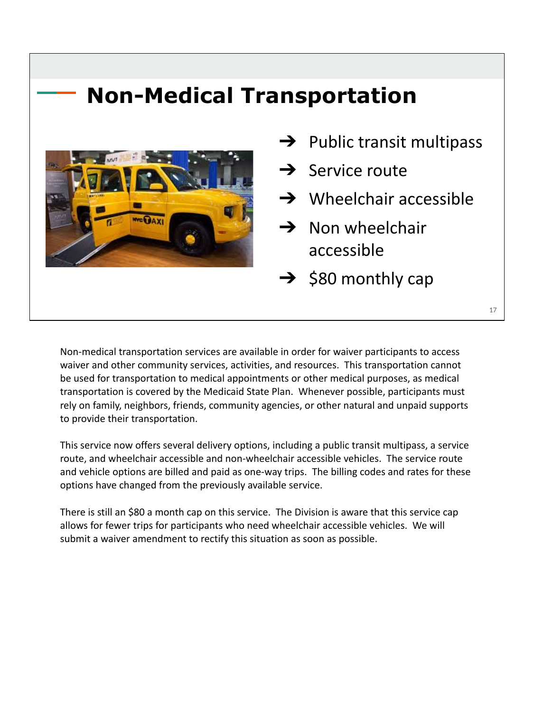#### **Non-Medical Transportation**



 $\rightarrow$  Public transit multipass  $\rightarrow$  Service route  $\rightarrow$  Wheelchair accessible  $\rightarrow$  Non wheelchair accessible  $\rightarrow$  \$80 monthly cap

Non-medical transportation services are available in order for waiver participants to access waiver and other community services, activities, and resources. This transportation cannot be used for transportation to medical appointments or other medical purposes, as medical transportation is covered by the Medicaid State Plan. Whenever possible, participants must rely on family, neighbors, friends, community agencies, or other natural and unpaid supports to provide their transportation.

This service now offers several delivery options, including a public transit multipass, a service route, and wheelchair accessible and non-wheelchair accessible vehicles. The service route and vehicle options are billed and paid as one-way trips. The billing codes and rates for these options have changed from the previously available service.

There is still an \$80 a month cap on this service. The Division is aware that this service cap allows for fewer trips for participants who need wheelchair accessible vehicles. We will submit a waiver amendment to rectify this situation as soon as possible.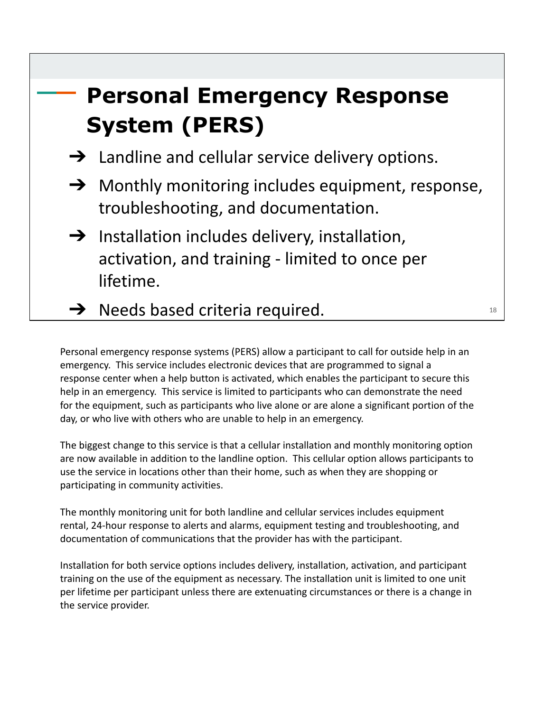## **Personal Emergency Response System (PERS)**

- $\rightarrow$  Landline and cellular service delivery options.
- $\rightarrow$  Monthly monitoring includes equipment, response, troubleshooting, and documentation.
- $\rightarrow$  Installation includes delivery, installation, activation, and training - limited to once per lifetime.
- $\rightarrow$  Needs based criteria required.

Personal emergency response systems (PERS) allow a participant to call for outside help in an emergency. This service includes electronic devices that are programmed to signal a response center when a help button is activated, which enables the participant to secure this help in an emergency. This service is limited to participants who can demonstrate the need for the equipment, such as participants who live alone or are alone a significant portion of the day, or who live with others who are unable to help in an emergency.

The biggest change to this service is that a cellular installation and monthly monitoring option are now available in addition to the landline option. This cellular option allows participants to use the service in locations other than their home, such as when they are shopping or participating in community activities.

The monthly monitoring unit for both landline and cellular services includes equipment rental, 24-hour response to alerts and alarms, equipment testing and troubleshooting, and documentation of communications that the provider has with the participant.

Installation for both service options includes delivery, installation, activation, and participant training on the use of the equipment as necessary. The installation unit is limited to one unit per lifetime per participant unless there are extenuating circumstances or there is a change in the service provider.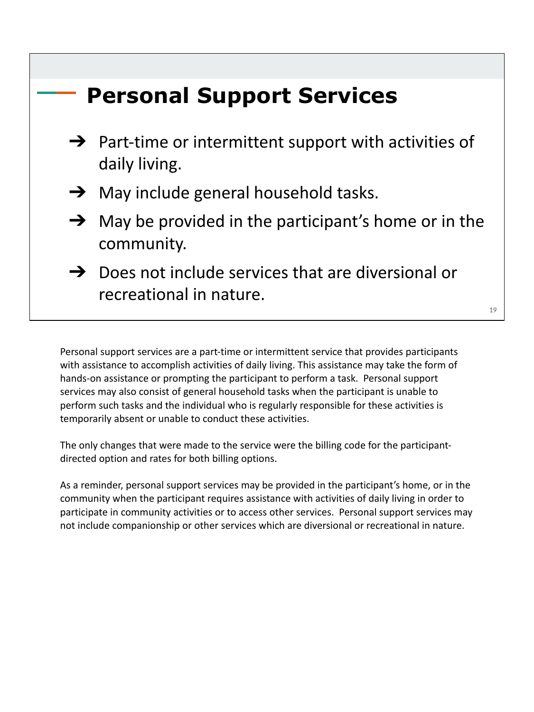## **Personal Support Services**   $\rightarrow$  Part-time or intermittent support with activities of daily living.  $\rightarrow$  May include general household tasks.  $\rightarrow$  May be provided in the participant's home or in the community.  $\rightarrow$  Does not include services that are diversional or recreational in nature. 19

Personal support services are a part-time or intermittent service that provides participants with assistance to accomplish activities of daily living. This assistance may take the form of hands-on assistance or prompting the participant to perform a task. Personal support services may also consist of general household tasks when the participant is unable to perform such tasks and the individual who is regularly responsible for these activities is temporarily absent or unable to conduct these activities.

The only changes that were made to the service were the billing code for the participantdirected option and rates for both billing options.

As a reminder, personal support services may be provided in the participant's home, or in the community when the participant requires assistance with activities of daily living in order to participate in community activities or to access other services. Personal support services may not include companionship or other services which are diversional or recreational in nature.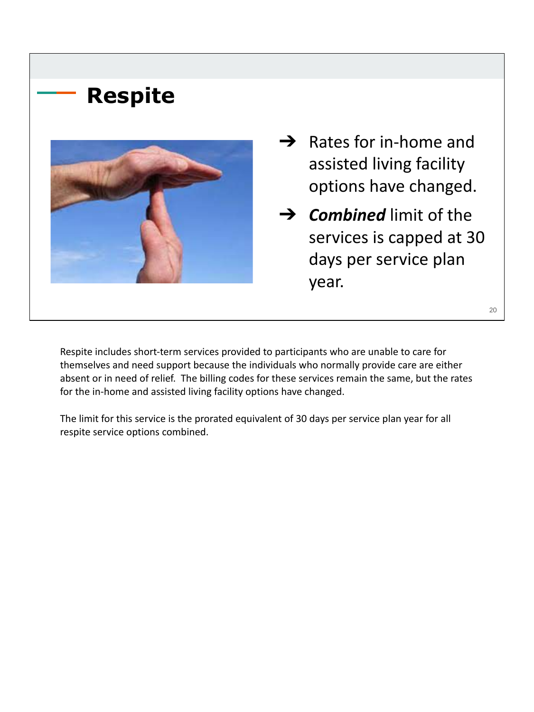## **Respite**



 $\rightarrow$  Rates for in-home and assisted living facility options have changed.

➔ *Combined* limit of the services is capped at 30 days per service plan year.

20

Respite includes short-term services provided to participants who are unable to care for themselves and need support because the individuals who normally provide care are either absent or in need of relief. The billing codes for these services remain the same, but the rates for the in-home and assisted living facility options have changed.

The limit for this service is the prorated equivalent of 30 days per service plan year for all respite service options combined.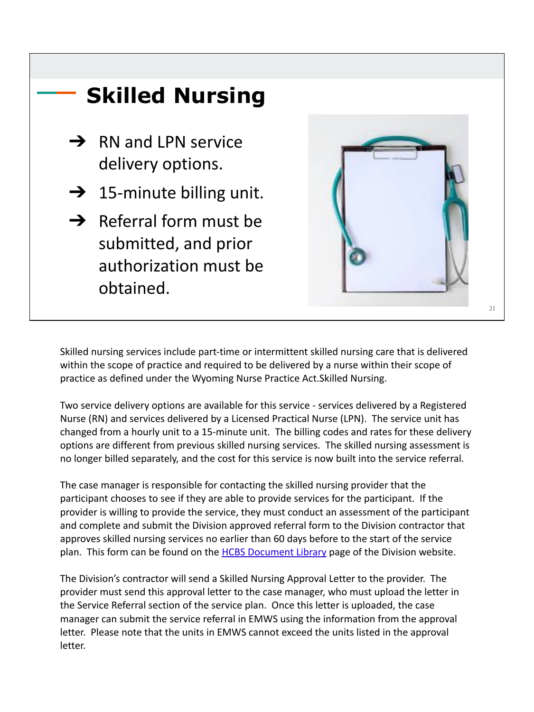

Skilled nursing services include part-time or intermittent skilled nursing care that is delivered within the scope of practice and required to be delivered by a nurse within their scope of practice as defined under the Wyoming Nurse Practice Act.Skilled Nursing.

Two service delivery options are available for this service - services delivered by a Registered Nurse (RN) and services delivered by a Licensed Practical Nurse (LPN). The service unit has changed from a hourly unit to a 15-minute unit. The billing codes and rates for these delivery options are different from previous skilled nursing services. The skilled nursing assessment is no longer billed separately, and the cost for this service is now built into the service referral.

The case manager is responsible for contacting the skilled nursing provider that the participant chooses to see if they are able to provide services for the participant. If the provider is willing to provide the service, they must conduct an assessment of the participant and complete and submit the Division approved referral form to the Division contractor that approves skilled nursing services no earlier than 60 days before to the start of the service plan. This form can be found on the [HCBS Document Library](https://health.wyo.gov/healthcarefin/hcbs/document-library/) page of the Division website.

The Division's contractor will send a Skilled Nursing Approval Letter to the provider. The provider must send this approval letter to the case manager, who must upload the letter in the Service Referral section of the service plan. Once this letter is uploaded, the case manager can submit the service referral in EMWS using the information from the approval letter. Please note that the units in EMWS cannot exceed the units listed in the approval letter.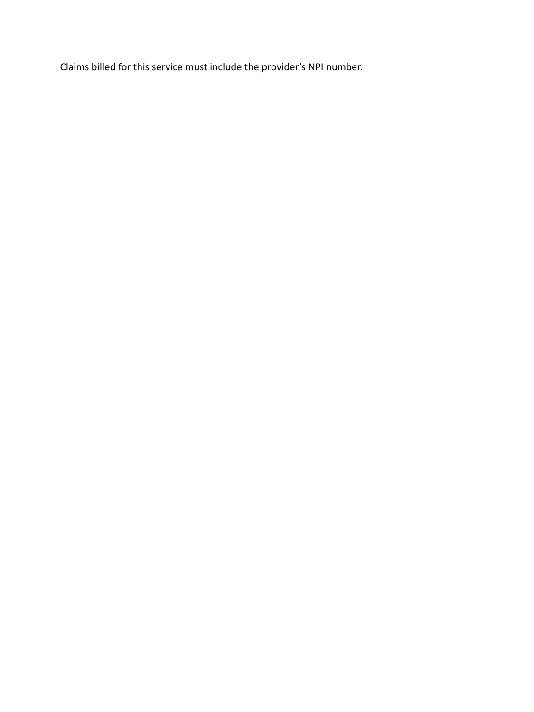Claims billed for this service must include the provider's NPI number.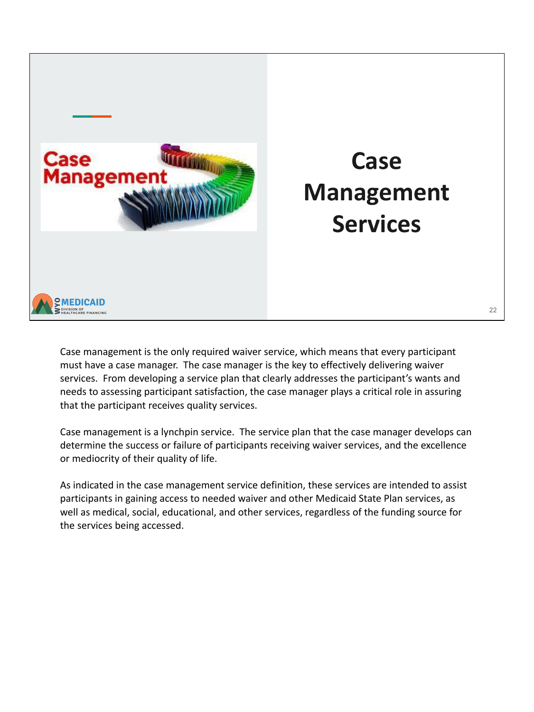

#### Case management is the only required waiver service, which means that every participant must have a case manager. The case manager is the key to effectively delivering waiver services. From developing a service plan that clearly addresses the participant's wants and needs to assessing participant satisfaction, the case manager plays a critical role in assuring that the participant receives quality services.

Case management is a lynchpin service. The service plan that the case manager develops can determine the success or failure of participants receiving waiver services, and the excellence or mediocrity of their quality of life.

As indicated in the case management service definition, these services are intended to assist participants in gaining access to needed waiver and other Medicaid State Plan services, as well as medical, social, educational, and other services, regardless of the funding source for the services being accessed.

**Case** 

**Management** 

**Services**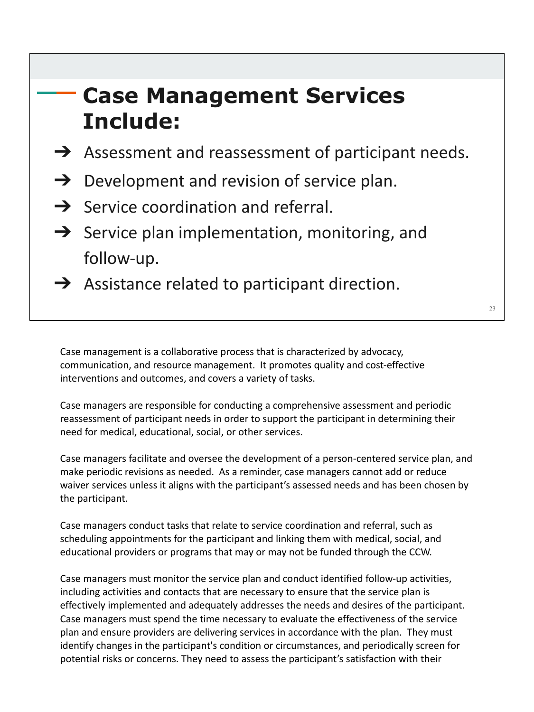## **Case Management Services Include:**

- $\rightarrow$  Assessment and reassessment of participant needs.
- $\rightarrow$  Development and revision of service plan.
- $\rightarrow$  Service coordination and referral.
- $\rightarrow$  Service plan implementation, monitoring, and follow-up.
- $\rightarrow$  Assistance related to participant direction.

Case management is a collaborative process that is characterized by advocacy, communication, and resource management. It promotes quality and cost-effective interventions and outcomes, and covers a variety of tasks.

Case managers are responsible for conducting a comprehensive assessment and periodic reassessment of participant needs in order to support the participant in determining their need for medical, educational, social, or other services.

Case managers facilitate and oversee the development of a person-centered service plan, and make periodic revisions as needed. As a reminder, case managers cannot add or reduce waiver services unless it aligns with the participant's assessed needs and has been chosen by the participant.

Case managers conduct tasks that relate to service coordination and referral, such as scheduling appointments for the participant and linking them with medical, social, and educational providers or programs that may or may not be funded through the CCW.

Case managers must monitor the service plan and conduct identified follow-up activities, including activities and contacts that are necessary to ensure that the service plan is effectively implemented and adequately addresses the needs and desires of the participant. Case managers must spend the time necessary to evaluate the effectiveness of the service plan and ensure providers are delivering services in accordance with the plan. They must identify changes in the participant's condition or circumstances, and periodically screen for potential risks or concerns. They need to assess the participant's satisfaction with their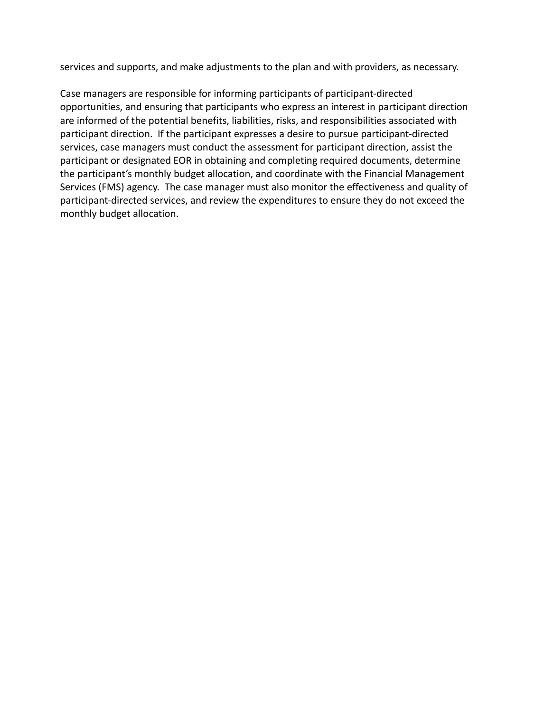services and supports, and make adjustments to the plan and with providers, as necessary.

Case managers are responsible for informing participants of participant-directed opportunities, and ensuring that participants who express an interest in participant direction are informed of the potential benefits, liabilities, risks, and responsibilities associated with participant direction. If the participant expresses a desire to pursue participant-directed services, case managers must conduct the assessment for participant direction, assist the participant or designated EOR in obtaining and completing required documents, determine the participant's monthly budget allocation, and coordinate with the Financial Management Services (FMS) agency. The case manager must also monitor the effectiveness and quality of participant-directed services, and review the expenditures to ensure they do not exceed the monthly budget allocation.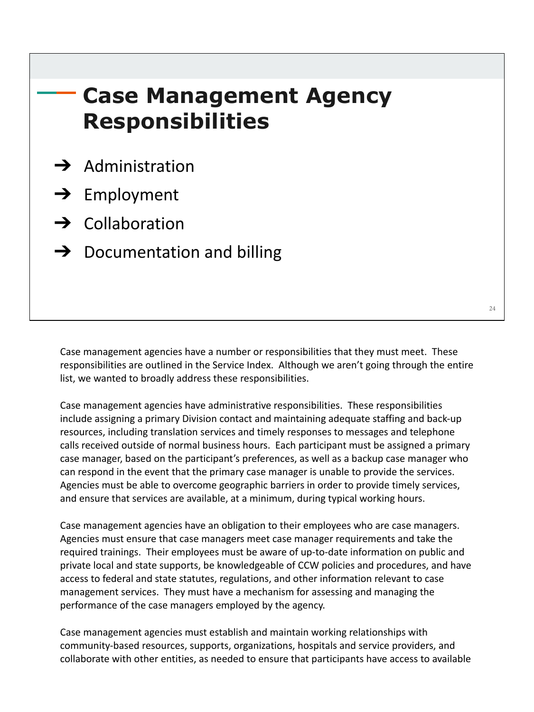## **Case Management Agency Responsibilities**

- $\rightarrow$  Administration
- $\rightarrow$  Employment
- $\rightarrow$  Collaboration
- $\rightarrow$  Documentation and billing

Case management agencies have a number or responsibilities that they must meet. These responsibilities are outlined in the Service Index. Although we aren't going through the entire list, we wanted to broadly address these responsibilities.

Case management agencies have administrative responsibilities. These responsibilities include assigning a primary Division contact and maintaining adequate staffing and back-up resources, including translation services and timely responses to messages and telephone calls received outside of normal business hours. Each participant must be assigned a primary case manager, based on the participant's preferences, as well as a backup case manager who can respond in the event that the primary case manager is unable to provide the services. Agencies must be able to overcome geographic barriers in order to provide timely services, and ensure that services are available, at a minimum, during typical working hours.

Case management agencies have an obligation to their employees who are case managers. Agencies must ensure that case managers meet case manager requirements and take the required trainings. Their employees must be aware of up-to-date information on public and private local and state supports, be knowledgeable of CCW policies and procedures, and have access to federal and state statutes, regulations, and other information relevant to case management services. They must have a mechanism for assessing and managing the performance of the case managers employed by the agency.

Case management agencies must establish and maintain working relationships with community-based resources, supports, organizations, hospitals and service providers, and collaborate with other entities, as needed to ensure that participants have access to available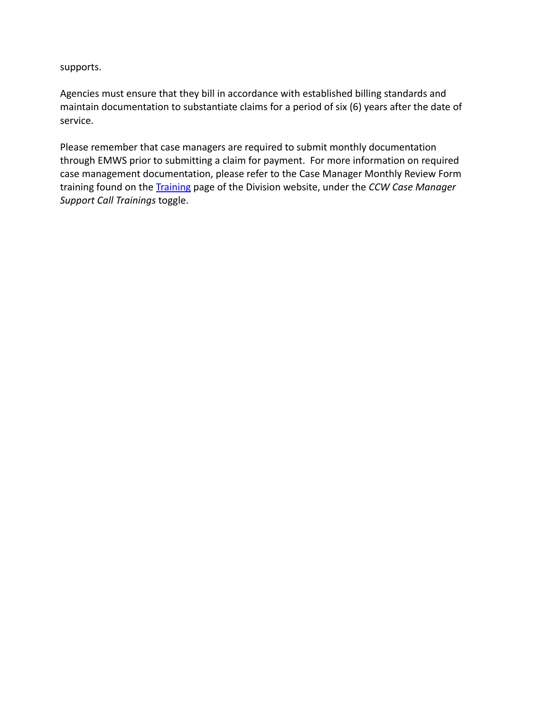supports.

Agencies must ensure that they bill in accordance with established billing standards and maintain documentation to substantiate claims for a period of six (6) years after the date of service.

Please remember that case managers are required to submit monthly documentation through EMWS prior to submitting a claim for payment. For more information on required case management documentation, please refer to the Case Manager Monthly Review Form training found on the [Training](https://health.wyo.gov/healthcarefin/hcbs/hcbs-training/) page of the Division website, under the *CCW Case Manager Support Call Trainings* toggle.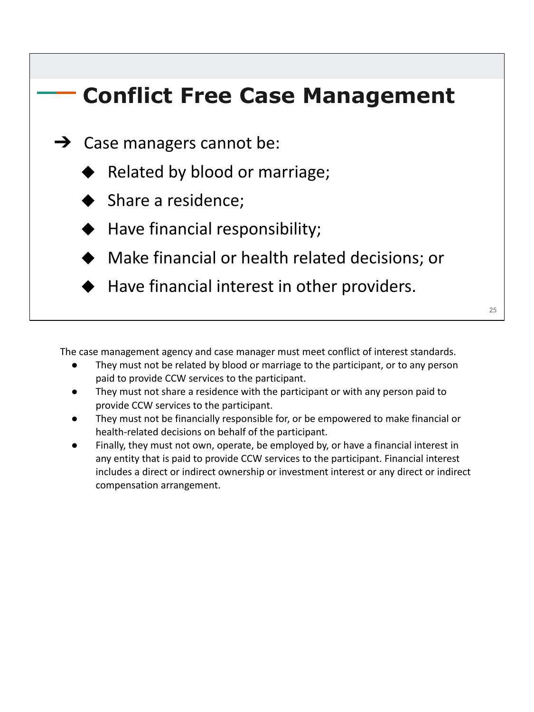## **Conflict Free Case Management**   $\rightarrow$  Case managers cannot be: Related by blood or marriage; ◆ Share a residence; ◆ Have financial responsibility;  $\cdot$  Make financial or health related decisions; or ◆ Have financial interest in other providers.  $25$

The case management agency and case manager must meet conflict of interest standards.

- They must not be related by blood or marriage to the participant, or to any person paid to provide CCW services to the participant.
- They must not share a residence with the participant or with any person paid to provide CCW services to the participant.
- They must not be financially responsible for, or be empowered to make financial or health-related decisions on behalf of the participant.
- Finally, they must not own, operate, be employed by, or have a financial interest in any entity that is paid to provide CCW services to the participant. Financial interest includes a direct or indirect ownership or investment interest or any direct or indirect compensation arrangement.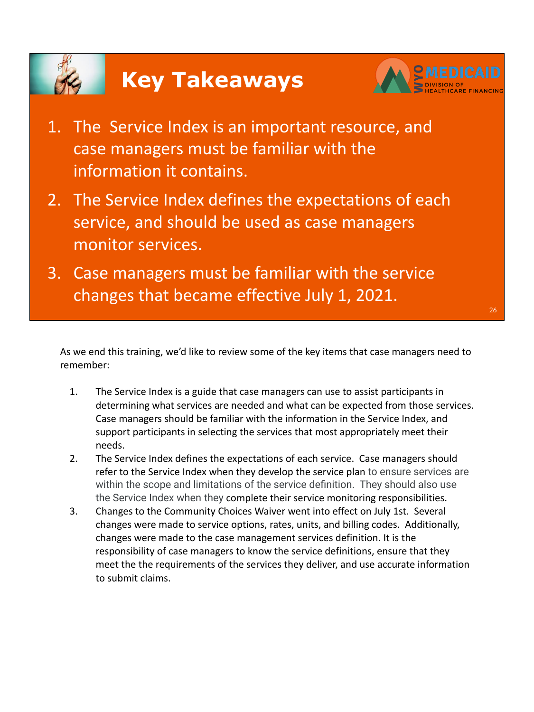



- 1. The Service Index is an important resource, and case managers must be familiar with the information it contains.
- 2. The Service Index defines the expectations of each service, and should be used as case managers monitor services.
- 3. Case managers must be familiar with the service changes that became effective July 1, 2021.

As we end this training, we'd like to review some of the key items that case managers need to remember:

- 1. The Service Index is a guide that case managers can use to assist participants in determining what services are needed and what can be expected from those services. Case managers should be familiar with the information in the Service Index, and support participants in selecting the services that most appropriately meet their needs.
- 2. The Service Index defines the expectations of each service. Case managers should refer to the Service Index when they develop the service plan to ensure services are within the scope and limitations of the service definition. They should also use the Service Index when they complete their service monitoring responsibilities.
- 3. Changes to the Community Choices Waiver went into effect on July 1st. Several changes were made to service options, rates, units, and billing codes. Additionally, changes were made to the case management services definition. It is the responsibility of case managers to know the service definitions, ensure that they meet the the requirements of the services they deliver, and use accurate information to submit claims.

26